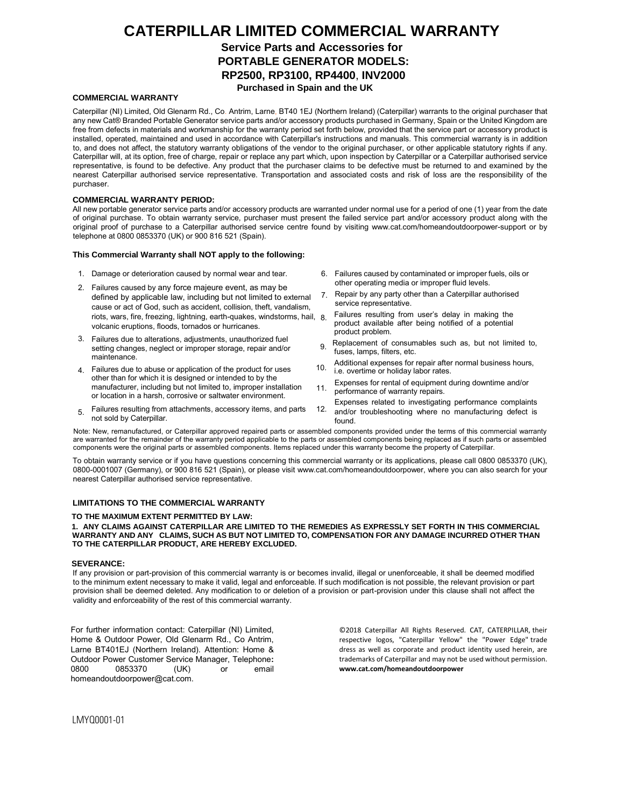# **CATERPILLAR LIMITED COMMERCIAL WARRANTY**

**Service Parts and Accessories for PORTABLE GENERATOR MODELS:** 

**RP2500, RP3100, RP4400**, **INV2000**

**Purchased in Spain and the UK**

# **COMMERCIAL WARRANTY**

Caterpillar (NI) Limited, Old Glenarm Rd., Co. Antrim, Larne, BT40 1EJ (Northern Ireland) (Caterpillar) warrants to the original purchaser that any new Cat® Branded Portable Generator service parts and/or accessory products purchased in Germany, Spain or the United Kingdom are free from defects in materials and workmanship for the warranty period set forth below, provided that the service part or accessory product is installed, operated, maintained and used in accordance with Caterpillar's instructions and manuals. This commercial warranty is in addition to, and does not affect, the statutory warranty obligations of the vendor to the original purchaser, or other applicable statutory rights if any. Caterpillar will, at its option, free of charge, repair or replace any part which, upon inspection by Caterpillar or a Caterpillar authorised service representative, is found to be defective. Any product that the purchaser claims to be defective must be returned to and examined by the nearest Caterpillar authorised service representative. Transportation and associated costs and risk of loss are the responsibility of the purchaser.

# **COMMERCIAL WARRANTY PERIOD:**

All new portable generator service parts and/or accessory products are warranted under normal use for a period of one (1) year from the date of original purchase. To obtain warranty service, purchaser must present the failed service part and/or accessory product along with the original proof of purchase to a Caterpillar authorised service centre found by vis[iting www.cat.com/homeandoutdoorpower-suppor](http://www.cat.com/homeandoutdoorpower-support)t or by telephone at 0800 0853370 (UK) or 900 816 521 (Spain).

#### **This Commercial Warranty shall NOT apply to t[he following:](http://www.cat.com/homeandoutdoorpower)**

- 1. Damage or deterioration caused by normal wear and tear.
- 2. Failures caused by any force majeure event, as may be defined by applicable law, including but not limited to external cause or act of God, such as accident, collision, theft, vandalism, riots, wars, fire, freezing, lightning, earth-quakes, windstorms, hail, 8. volcanic eruptions, floods, tornados or hurricanes.
- 3. Failures due to alterations, adjustments, unauthorized fuel setting changes, neglect or improper storage, repair and/or maintenance.
- 4. Failures due to abuse or application of the product for uses other than for which it is designed or intended to by the manufacturer, including but not limited to, improper installation or location in a harsh, corrosive or saltwater environment.
- 5. Failures resulting from attachments, accessory items, and parts not sold by Caterpillar.
- 6. Failures caused by contaminated or improper fuels, oils or other operating media or improper fluid levels.
- 7. Repair by any party other than a Caterpillar authorised service representative.
- Failures resulting from user's delay in making the product available after being notified of a potential product problem.
- 9. Replacement of consumables such as, but not limited to, fuses, lamps, filters, etc.
- 10. Additional expenses for repair after normal business hours, i.e. overtime or holiday labor rates.
- 11. Expenses for rental of equipment during downtime and/or performance of warranty repairs.
- 12. Expenses related to investigating performance complaints and/or troubleshooting where no manufacturing defect is
- found.

Note: New, remanufactured, or Caterpillar approved repaired parts or assembled components provided under the terms of this commercial warranty are warranted for the remainder of the warranty period applicable to the parts or assembled components being replaced as if such parts or assembled components were the original parts or assembled components. Items replaced under this warranty become the property of Caterpillar.

To obtain warranty service or if you have questions concerning this commercial warranty or its applications, please call 0800 0853370 (UK), 0800-0001007 (Germany), or 900 816 521 (Spain), or please visit [www.cat.com/homeandoutdoorpower, w](http://www.cat.com/homeandoutdoorpower)here you can also search for your nearest Caterpillar authorised service representative.

# **LIMITATIONS TO THE COMMERCIAL WARRANTY**

#### **TO THE MAXIMUM EXTENT PERMITTED BY LAW:**

#### **1. ANY CLAIMS AGAINST CATERPILLAR ARE LIMITED TO THE REMEDIES AS EXPRESSLY SET FORTH IN THIS COMMERCIAL WARRANTY AND ANY CLAIMS, SUCH AS BUT NOT LIMITED TO, COMPENSATION FOR ANY DAMAGE INCURRED OTHER THAN TO THE CATERPILLAR PRODUCT, ARE HEREBY EXCLUDED.**

#### **SEVERANCE:**

If any provision or part-provision of this commercial warranty is or becomes invalid, illegal or unenforceable, it shall be deemed modified to the minimum extent necessary to make it valid, legal and enforceable. If such modification is not possible, the relevant provision or part provision shall be deemed deleted. Any modification to or deletion of a provision or part-provision under this clause shall not affect the validity and enforceability of the rest of this commercial warranty.

For further information contact: Caterpillar (NI) Limited, Home & Outdoor Power, Old Glenarm Rd., Co Antrim, Larne BT401EJ (Northern Ireland). Attention: Home & Out[door Power Customer Service Mana](mailto:homeandoutdoorpower@cat.com)ger, Telephone**:** 0853370 (UK) or email homeandoutdoorpower@cat.com.

©2018 Caterpillar All Rights Reserved. CAT, CATERPILLAR, their respective logos, "Caterpillar Yellow" the "Power Edge" trade dress as well as [corporate](http://www.cat.com/homeandoutdoorpower) and product identity used herein, are trademarks of Caterpillar and may not be used without permission. **www.cat.com/homeandoutdoorpower**

LMYQ0001-01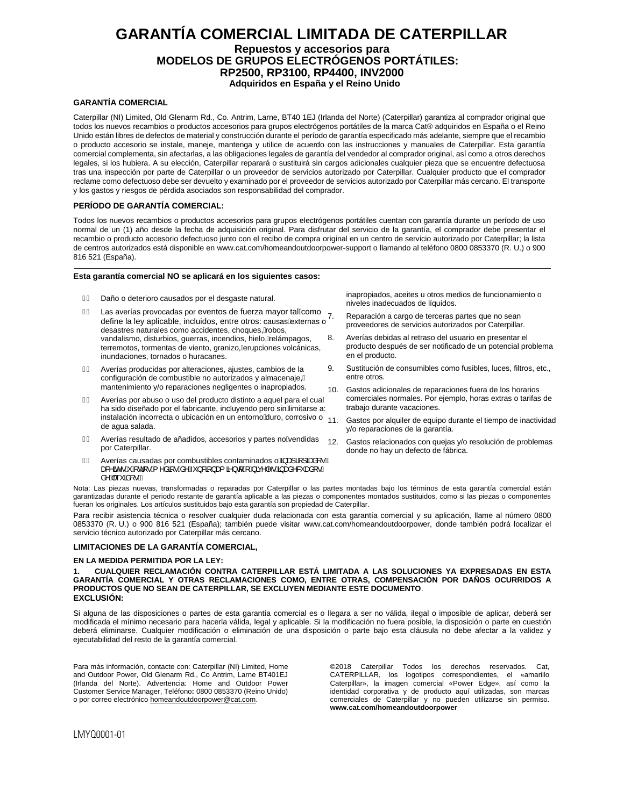# **GARANTÍA COMERCIAL LIMITADA DE CATERPILLAR Repuestos y accesorios para MODELOS DE GRUPOS ELECTRÓGENOS PORTÁTILES: RP2500, RP3100, RP4400, INV2000 Adquiridos en España y el Reino Unido**

# **GARANTÍA COMERCIAL**

Caterpillar (NI) Limited, Old Glenarm Rd., Co. Antrim, Larne, BT40 1EJ (Irlanda del Norte) (Caterpillar) garantiza al comprador original que todos los nuevos recambios o productos accesorios para grupos electrógenos portátiles de la marca Cat® adquiridos en España o el Reino Unido están libres de defectos de material y construcción durante el período de garantía especificado más adelante, siempre que el recambio o producto accesorio se instale, maneje, mantenga y utilice de acuerdo con las instrucciones y manuales de Caterpillar. Esta garantía comercial complementa, sin afectarlas, a las obligaciones legales de garantía del vendedor al comprador original, así como a otros derechos legales, si los hubiera. A su elección, Caterpillar reparará o sustituirá sin cargos adicionales cualquier pieza que se encuentre defectuosa tras una inspección por parte de Caterpillar o un proveedor de servicios autorizado por Caterpillar. Cualquier producto que el comprador reclame como defectuoso debe ser devuelto y examinado por el proveedor de servicios autorizado por Caterpillar más cercano. El transporte y los gastos y riesgos de pérdida asociados son responsabilidad del comprador.

## **PERÍODO DE GARANTÍA COMERCIAL:**

Todos los nuevos recambios o productos accesorios para grupos electrógenos portátiles cuentan con garantía durante un período de uso normal de un (1) año desde la fecha de adquisición original. Para disfrutar del servicio de la garantía, el comprador debe presentar el recambio o producto accesorio defectuoso junto con el recibo de compra original en un centro de servicio autorizado por Caterpillar; la lista de centros autorizados está disponible en [www.cat.com/homeandoutdoorpower-support](http://www.cat.com/homeandoutdoorpower-support) o llamando al teléfono 0800 0853370 (R. U.) o 900 816 521 (España).

#### **Esta g[arantía com](http://www.cat.com/homeandoutdoorpower)ercial NO se aplicará en los siguientes casos:**

- FÈ Daño o deterioro causados por el desgaste natural.
- $G$  Las averías provocadas por eventos de fuerza mayor tal $\&$ omo Las averias provocadas por eventos de ideiza mayor tancomo 7.<br>define la ley aplicable, incluidos, entre otros: causas/externas o desastres naturales como accidentes, choques, Áobos, vandalismo, disturbios, guerras, incendios, hielo, Áelámpagos, terremotos, tormentas de viento, granizo, Áerupciones volcánicas, inundaciones, tornados o huracanes.
- Averías producidas por alteraciones, ajustes, cambios de la configuración de combustible no autorizados y almacenaje, mantenimiento y/o reparaciones negligentes o inapropiados.
- Averías por abuso o uso del producto distinto a aquel para el cual ha sido diseñado por el fabricante, incluyendo pero sinÁimitarse a: instalación incorrecta o ubicación en un entorno áluro, corrosivo o 11. de agua salada.
- $\hat{E}$  Averías resultado de añadidos, accesorios y partes no $\hat{A}$ endidas por Caterpillar.
- $\hat{I}$   $\hat{E}$  Averías causadas por combustibles contaminados o $\hat{A}$ a al [] and  $\hat{E}$ ana&Amãor•ÁnÁd[•Ál^åã[•Ás^Á-Y}&ã[}ana{ã}d[ÁlÁnãq^|^•Ás}ana}^& anal[•Á å^Áð\*ãã[∙ĎÁ

Nota: Las piezas nuevas, transformadas o reparadas por Caterpillar o las partes montadas bajo los términos de esta garantía comercial están garantizadas durante el periodo restante de garantía aplicable a las piezas o componentes montados sustituidos, como si las piezas o componentes fueran los originales. Los artículos sustituidos bajo esta garantía son propiedad de Caterpillar.

Para recibir asistencia técnica o resolver cualquier duda relacionada con esta garantía comercial y su aplicación, llame al número 0800 0853370 (R. U.) o 900 816 521 (España); también puede visitar [www.cat.com/homeandoutdoorpower,](http://www.cat.com/homeandoutdoorpower) donde también podrá localizar el servicio técnico autorizado por Caterpillar más cercano.

#### **LIMITACIONES DE LA GARANTÍA COMERCIAL,**

#### **EN LA MEDIDA PERMITIDA POR LA LEY:**

**1. CUALQUIER RECLAMACIÓN CONTRA CATERPILLAR ESTÁ LIMITADA A LAS SOLUCIONES YA EXPRESADAS EN ESTA GARANTÍA COMERCIAL Y OTRAS RECLAMACIONES COMO, ENTRE OTRAS, COMPENSACIÓN POR DAÑOS OCURRIDOS A PRODUCTOS QUE NO SEAN DE CATERPILLAR, SE EXCLUYEN MEDIANTE ESTE DOCUMENTO**. **EXCLUSIÓN:**

Si alguna de las disposiciones o partes de esta garantía comercial es o llegara a ser no válida, ilegal o imposible de aplicar, deberá ser modificada el mínimo necesario para hacerla válida, legal y aplicable. Si la modificación no fuera posible, la disposición o parte en cuestión deberá eliminarse. Cualquier modificación o eliminación de una disposición o parte bajo esta cláusula no debe afectar a la validez y ejecutabilidad del resto de la garantía comercial.

Para más información, contacte con: Caterpillar (NI) Limited, Home and Outdoor Power, Old Glenarm Rd., Co Antrim, Larne BT401EJ (Irlanda del Norte). Advertencia: Home and Outdoor Power Customer Service Manager, Teléfono**:** 0800 0853370 (Reino Unido) o por correo electrónico homeandoutdoorpower@cat.com.

©2018 Caterpillar Todos los derechos reservados. Cat, CATERPILLAR, los logotipos correspondientes, el «amarillo Caterpillar», la imagen comercial «Power Edge», así como la identidad corporativa y de producto aquí utilizadas, son marcas comerciales de Caterpillar y no pueden utilizarse sin permiso. **www.cat.com/homeandoutdoorpower** 

inapropiados, aceites u otros medios de funcionamiento o niveles inadecuados de líquidos.

- Reparación a cargo de terceras partes que no sean proveedores de servicios autorizados por Caterpillar.
- 8. Averías debidas al retraso del usuario en presentar el producto después de ser notificado de un potencial problema en el producto.
- 9. Sustitución de consumibles como fusibles, luces, filtros, etc., entre otros.
- 10. Gastos adicionales de reparaciones fuera de los horarios comerciales normales. Por ejemplo, horas extras o tarifas de trabajo durante vacaciones.
- Gastos por alquiler de equipo durante el tiempo de inactividad y/o reparaciones de la garantía.
- 12. Gastos relacionados con quejas y/o resolución de problemas donde no hay un defecto de fábrica.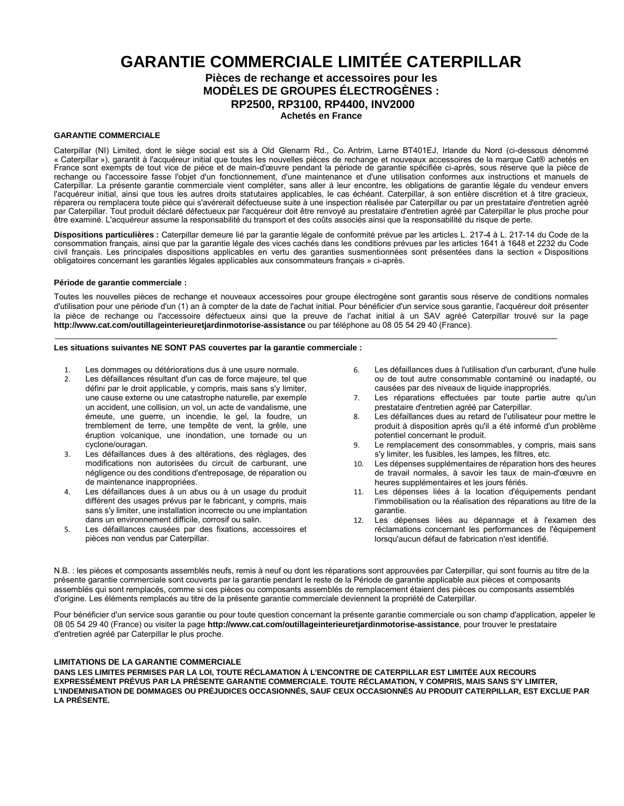# **GARANTIE COMMERCIALE LIMITÉE CATERPILLAR Pièces de rechange et accessoires pour les MODÈLES DE GROUPES ÉLECTROGÈNES :**

**RP2500, RP3100, RP4400, INV2000**

**Achetés en France**

# **GARANTIE COMMERCIALE**

Caterpillar (NI) Limited, dont le siège social est sis à Old Glenarm Rd., Co. Antrim, Larne BT401EJ, Irlande du Nord (ci-dessous dénommé « Caterpillar »), garantit à l'acquéreur initial que toutes les nouvelles pièces de rechange et nouveaux accessoires de la marque Cat® achetés en France sont exempts de tout vice de pièce et de main-d'œuvre pendant la période de garantie spécifiée ci-après, sous réserve que la pièce de rechange ou l'accessoire fasse l'objet d'un fonctionnement, d'une maintenance et d'une utilisation conformes aux instructions et manuels de Caterpillar. La présente garantie commerciale vient compléter, sans aller à leur encontre, les obligations de garantie légale du vendeur envers l'acquéreur initial, ainsi que tous les autres droits statutaires applicables, le cas échéant. Caterpillar, à son entière discrétion et à titre gracieux, réparera ou remplacera toute pièce qui s'avérerait défectueuse suite à une inspection réalisée par Caterpillar ou par un prestataire d'entretien agréé par Caterpillar. Tout produit déclaré défectueux par l'acquéreur doit être renvoyé au prestataire d'entretien agréé par Caterpillar le plus proche pour être examiné. L'acquéreur assume la responsabilité du transport et des coûts associés ainsi que la responsabilité du risque de perte.

**Dispositions particulières :** Caterpillar demeure lié par la garantie légale de conformité prévue par les articles L. 217-4 à L. 217-14 du Code de la consommation français, ainsi que par la garantie légale des vices cachés dans les conditions prévues par les articles 1641 à 1648 et 2232 du Code civil français. Les principales dispositions applicables en vertu des garanties susmentionnées sont présentées dans la section « Dispositions obligatoires concernant les garanties légales applicables aux consommateurs français » ci-après.

# **Période de garantie commerciale :**

Toutes les nouvelles pièces de rechange et nouveaux accessoires pour groupe électrogène sont garantis sous réserve de conditions normales d'utilisation pour une période d'un (1) an à compter de la date de l'achat initial. Pour bénéficier d'un service sous garantie, l'acquéreur doit présenter la pièce de rechange ou l'accessoire défectueux ainsi que la preuve de l'achat initial à un SAV agréé Caterpillar trouvé sur la page **<http://www.cat.com/outillageinterieuretjardinmotorise-assistance>** ou par téléphone au 08 05 54 29 40 (France).

# **Les situations suivantes NE SONT PAS couvertes par la garantie commerciale :**

- 1. Les dommages ou détériorations dus à une usure normale.<br>2. Les défaillances résultant d'un cas de force maieure, tel qu
- Les défaillances résultant d'un cas de force majeure, tel que défini par le droit applicable, y compris, mais sans s'y limiter, une cause externe ou une catastrophe naturelle, par exemple un accident, une collision, un vol, un acte de vandalisme, une émeute, une guerre, un incendie, le gel, la foudre, un tremblement de terre, une tempête de vent, la grêle, une éruption volcanique, une inondation, une tornade ou un cyclone/ouragan.
- 3. Les défaillances dues à des altérations, des réglages, des modifications non autorisées du circuit de carburant, une négligence ou des conditions d'entreposage, de réparation ou de maintenance inappropriées.
- 4. Les défaillances dues à un abus ou à un usage du produit différent des usages prévus par le fabricant, y compris, mais sans s'y limiter, une installation incorrecte ou une implantation dans un environnement difficile, corrosif ou salin.
- 5. Les défaillances causées par des fixations, accessoires et pièces non vendus par Caterpillar.
- 6. Les défaillances dues à l'utilisation d'un carburant, d'une huile ou de tout autre consommable contaminé ou inadapté, ou causées par des niveaux de liquide inappropriés.
- 7. Les réparations effectuées par toute partie autre qu'un prestataire d'entretien agréé par Caterpillar.
- 8. Les défaillances dues au retard de l'utilisateur pour mettre le produit à disposition après qu'il a été informé d'un problème potentiel concernant le produit.
- 9. Le remplacement des consommables, y compris, mais sans s'y limiter, les fusibles, les lampes, les filtres, etc.
- 10. Les dépenses supplémentaires de réparation hors des heures de travail normales, à savoir les taux de main-d'œuvre en heures supplémentaires et les jours fériés.
- 11. Les dépenses liées à la location d'équipements pendant l'immobilisation ou la réalisation des réparations au titre de la garantie.
- 12. Les dépenses liées au dépannage et à l'examen des réclamations concernant les performances de l'équipement lorsqu'aucun défaut de fabrication n'est identifié.

N.B. : les pièces et composants assemblés neufs, remis à neuf ou dont les réparations sont approuvées par Caterpillar, qui sont fournis au titre de la présente garantie commerciale sont couverts par la garantie pendant le reste de la Période de garantie applicable aux pièces et composants assemblés qui sont remplacés, comme si ces pièces ou composants assemblés de remplacement étaient des pièces ou composants assemblés d'origine. Les éléments remplacés au titre de la présente garantie commerciale deviennent la propriété de Caterpillar.

Pour bénéficier d'un service sous garantie ou pour toute question concernant la présente garantie commerciale ou son champ d'application, appeler le 08 05 54 29 40 (France) ou visiter la page **[http://www.cat.com/outillageinterieuretjardinmotorise-as](http://www.cat.com/outillageinterieuretjardinmotorise-assistance)sistance**, pour trouver le prestataire d'entretien agréé par Caterpillar le plus proche.

# **LIMITATIONS DE LA GARANTIE COMMERCIALE**

**DANS LES LIMITES PERMISES PAR LA LOI, TOUTE RÉCLAMATION À L'ENCONTRE DE CATERPILLAR EST LIMITÉE AUX RECOURS EXPRESSÉMENT PRÉVUS PAR LA PRÉSENTE GARANTIE COMMERCIALE. TOUTE RÉCLAMATION, Y COMPRIS, MAIS SANS S'Y LIMITER, L'INDEMNISATION DE DOMMAGES OU PRÉJUDICES OCCASIONNÉS, SAUF CEUX OCCASIONNÉS AU PRODUIT CATERPILLAR, EST EXCLUE PAR LA PRÉSENTE.**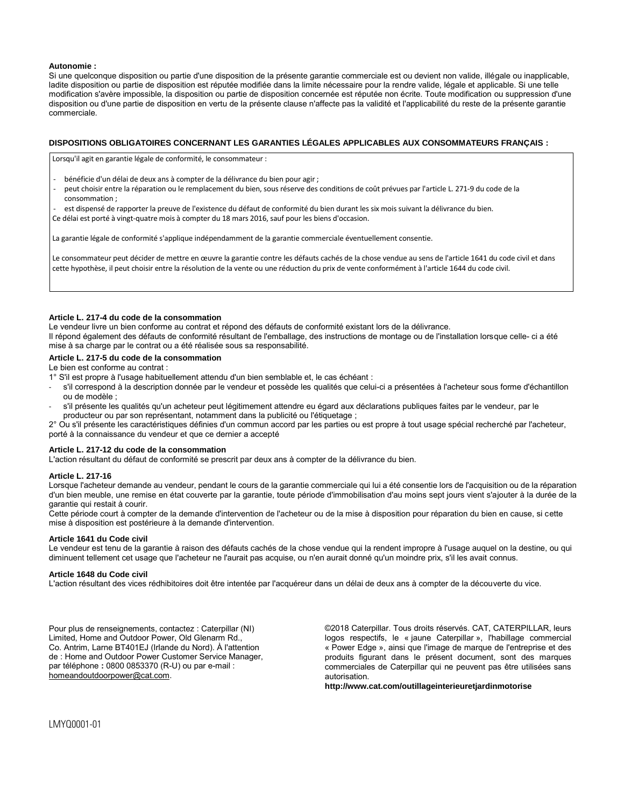## **Autonomie :**

Si une quelconque disposition ou partie d'une disposition de la présente garantie commerciale est ou devient non valide, illégale ou inapplicable, ladite disposition ou partie de disposition est réputée modifiée dans la limite nécessaire pour la rendre valide, légale et applicable. Si une telle modification s'avère impossible, la disposition ou partie de disposition concernée est réputée non écrite. Toute modification ou suppression d'une disposition ou d'une partie de disposition en vertu de la présente clause n'affecte pas la validité et l'applicabilité du reste de la présente garantie commerciale.

# **DISPOSITIONS OBLIGATOIRES CONCERNANT LES GARANTIES LÉGALES APPLICABLES AUX CONSOMMATEURS FRANÇAIS :**

Lorsqu'il agit en garantie légale de conformité, le consommateur :

- bénéficie d'un délai de deux ans à compter de la délivrance du bien pour agir ;
- peut choisir entre la réparation ou le remplacement du bien, sous réserve des conditions de coût prévues par l'article L. 271-9 du code de la consommation ;
- est dispensé de rapporter la preuve de l'existence du défaut de conformité du bien durant les six mois suivant la délivrance du bien.

Ce délai est porté à vingt-quatre mois à compter du 18 mars 2016, sauf pour les biens d'occasion.

La garantie légale de conformité s'applique indépendamment de la garantie commerciale éventuellement consentie.

Le consommateur peut décider de mettre en œuvre la garantie contre les défauts cachés de la chose vendue au sens de l'article 1641 du code civil et dans cette hypothèse, il peut choisir entre la résolution de la vente ou une réduction du prix de vente conformément à l'article 1644 du code civil.

### **Article L. 217-4 du code de la consommation**

Le vendeur livre un bien conforme au contrat et répond des défauts de conformité existant lors de la délivrance. Il répond également des défauts de conformité résultant de l'emballage, des instructions de montage ou de l'installation lorsque celle- ci a été mise à sa charge par le contrat ou a été réalisée sous sa responsabilité.

# **Article L. 217-5 du code de la consommation**

Le bien est conforme au contrat :

- 1° S'il est propre à l'usage habituellement attendu d'un bien semblable et, le cas échéant :
- s'il correspond à la description donnée par le vendeur et possède les qualités que celui-ci a présentées à l'acheteur sous forme d'échantillon ou de modèle ;
- s'il présente les qualités qu'un acheteur peut légitimement attendre eu égard aux déclarations publiques faites par le vendeur, par le producteur ou par son représentant, notamment dans la publicité ou l'étiquetage ;

2° Ou s'il présente les caractéristiques définies d'un commun accord par les parties ou est propre à tout usage spécial recherché par l'acheteur, porté à la connaissance du vendeur et que ce dernier a accepté

#### **Article L. 217-12 du code de la consommation**

L'action résultant du défaut de conformité se prescrit par deux ans à compter de la délivrance du bien.

# **Article L. 217-16**

Lorsque l'acheteur demande au vendeur, pendant le cours de la garantie commerciale qui lui a été consentie lors de l'acquisition ou de la réparation d'un bien meuble, une remise en état couverte par la garantie, toute période d'immobilisation d'au moins sept jours vient s'ajouter à la durée de la garantie qui restait à courir.

Cette période court à compter de la demande d'intervention de l'acheteur ou de la mise à disposition pour réparation du bien en cause, si cette mise à disposition est postérieure à la demande d'intervention.

#### **Article 1641 du Code civil**

Le vendeur est tenu de la garantie à raison des défauts cachés de la chose vendue qui la rendent impropre à l'usage auquel on la destine, ou qui diminuent tellement cet usage que l'acheteur ne l'aurait pas acquise, ou n'en aurait donné qu'un moindre prix, s'il les avait connus.

#### **Article 1648 du Code civil**

L'action résultant des vices rédhibitoires doit être intentée par l'acquéreur dans un délai de deux ans à compter de la découverte du vice.

Pour plus de renseignements, contactez : Caterpillar (NI) Limited, Home and Outdoor Power, Old Glenarm Rd., Co. Antrim, Larne BT401EJ (Irlande du Nord). À l'attention de : Home and Outdoor Power Customer Service Manager, par téléphone **:** 0800 0853370 (R-U) ou par e-mail : homeandoutdoorpower@cat.com.

©2018 Caterpillar. Tous droits réservés. CAT, CATERPILLAR, leurs logos respectifs, le « jaune Caterpillar », l'habillage commercial « Power Edge », ainsi que l'image de marque de l'entreprise et des produits figurant dans le présent document, sont des marques commerciales de Caterpillar qui ne peuvent pas être utilisées sans autorisation.

**http://www.cat.com/outillageinterieuretjardinmotorise**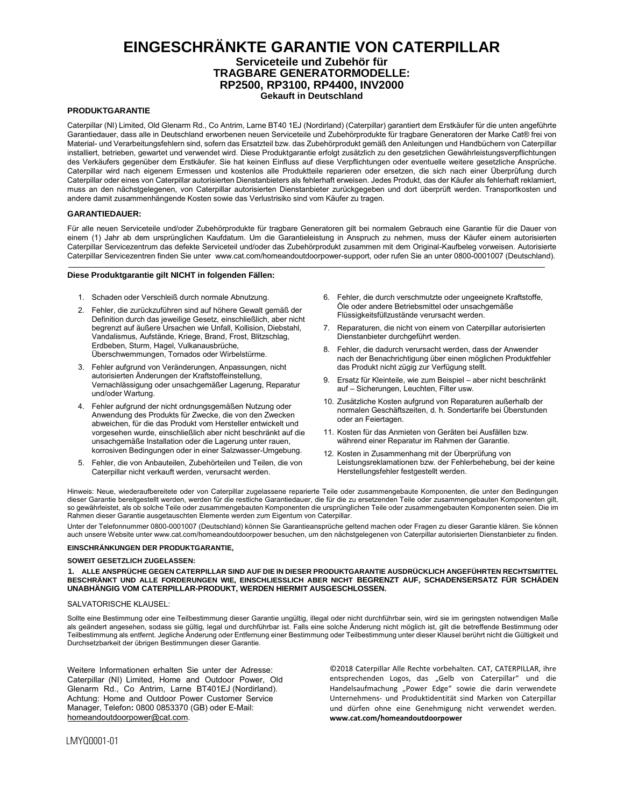# **EINGESCHRÄNKTE GARANTIE VON CATERPILLAR Serviceteile und Zubehör für TRAGBARE GENERATORMODELLE: RP2500, RP3100, RP4400, INV2000 Gekauft in Deutschland**

# **PRODUKTGARANTIE**

Caterpillar (NI) Limited, Old Glenarm Rd., Co Antrim, Larne BT40 1EJ (Nordirland) (Caterpillar) garantiert dem Erstkäufer für die unten angeführte Garantiedauer, dass alle in Deutschland erworbenen neuen Serviceteile und Zubehörprodukte für tragbare Generatoren der Marke Cat® frei von Material- und Verarbeitungsfehlern sind, sofern das Ersatzteil bzw. das Zubehörprodukt gemäß den Anleitungen und Handbüchern von Caterpillar installiert, betrieben, gewartet und verwendet wird. Diese Produktgarantie erfolgt zusätzlich zu den gesetzlichen Gewährleistungsverpflichtungen des Verkäufers gegenüber dem Erstkäufer. Sie hat keinen Einfluss auf diese Verpflichtungen oder eventuelle weitere gesetzliche Ansprüche. Caterpillar wird nach eigenem Ermessen und kostenlos alle Produktteile reparieren oder ersetzen, die sich nach einer Überprüfung durch Caterpillar oder eines von Caterpillar autorisierten Dienstanbieters als fehlerhaft erweisen. Jedes Produkt, das der Käufer als fehlerhaft reklamiert, muss an den nächstgelegenen, von Caterpillar autorisierten Dienstanbieter zurückgegeben und dort überprüft werden. Transportkosten und andere damit zusammenhängende Kosten sowie das Verlustrisiko sind vom Käufer zu tragen.

#### **GARANTIEDAUER:**

Für alle neuen Serviceteile und/oder Zubehörprodukte für tragbare Generatoren gilt bei normalem Gebrauch eine Garantie für die Dauer von einem (1) Jahr ab dem ursprünglichen Kaufdatum. Um die Garantieleistung in Anspruch zu nehmen, muss der Käufer einem autorisierten Caterpillar Servicezentrum das defekte Serviceteil und/oder das Zubehörprodukt zusammen mit dem Original-Kaufbeleg vorweisen. Autorisierte Caterpillar Servicezentren finden Sie unte[r www.cat.com/homeandoutdoorpower-support,](http://www.cat.com/homeandoutdoorpower-support) oder rufen Sie an unter 0800-0001007 (Deutschland).

## **Diese Produktgarantie gilt NICHT in folgenden Fälle[n:](http://www.cat.com/homeandoutdoorpower)**

- 1. Schaden oder Verschleiß durch normale Abnutzung.
- 2. Fehler, die zurückzuführen sind auf höhere Gewalt gemäß der Definition durch das jeweilige Gesetz, einschließlich, aber nicht begrenzt auf äußere Ursachen wie Unfall, Kollision, Diebstahl, Vandalismus, Aufstände, Kriege, Brand, Frost, Blitzschlag, Erdbeben, Sturm, Hagel, Vulkanausbrüche, Überschwemmungen, Tornados oder Wirbelstürme.
- 3. Fehler aufgrund von Veränderungen, Anpassungen, nicht autorisierten Änderungen der Kraftstoffeinstellung, Vernachlässigung oder unsachgemäßer Lagerung, Reparatur und/oder Wartung.
- 4. Fehler aufgrund der nicht ordnungsgemäßen Nutzung oder Anwendung des Produkts für Zwecke, die von den Zwecken abweichen, für die das Produkt vom Hersteller entwickelt und vorgesehen wurde, einschließlich aber nicht beschränkt auf die unsachgemäße Installation oder die Lagerung unter rauen, korrosiven Bedingungen oder in einer Salzwasser-Umgebung.
- 5. Fehler, die von Anbauteilen, Zubehörteilen und Teilen, die von Caterpillar nicht verkauft werden, verursacht werden.
- 6. Fehler, die durch verschmutzte oder ungeeignete Kraftstoffe, Öle oder andere Betriebsmittel oder unsachgemäße Flüssigkeitsfüllzustände verursacht werden.
- 7. Reparaturen, die nicht von einem von Caterpillar autorisierten Dienstanbieter durchgeführt werden.
- 8. Fehler, die dadurch verursacht werden, dass der Anwender nach der Benachrichtigung über einen möglichen Produktfehler das Produkt nicht zügig zur Verfügung stellt.
- 9. Ersatz für Kleinteile, wie zum Beispiel aber nicht beschränkt auf – Sicherungen, Leuchten, Filter usw.
- 10. Zusätzliche Kosten aufgrund von Reparaturen außerhalb der normalen Geschäftszeiten, d. h. Sondertarife bei Überstunden oder an Feiertagen.
- 11. Kosten für das Anmieten von Geräten bei Ausfällen bzw. während einer Reparatur im Rahmen der Garantie.
- 12. Kosten in Zusammenhang mit der Überprüfung von Leistungsreklamationen bzw. der Fehlerbehebung, bei der keine Herstellungsfehler festgestellt werden.

Hinweis: Neue, wiederaufbereitete oder von Caterpillar zugelassene reparierte Teile oder zusammengebaute Komponenten, die unter den Bedingungen dieser Garantie bereitgestellt werden, werden für die restliche Garantiedauer, die für die zu ersetzenden Teile oder zusammengebauten Komponenten gilt, so gewährleistet, als ob solche Teile oder zusammengebauten Komponenten die ursprünglichen Teile oder zusammengebauten Komponenten seien. Die im Rahmen dieser Garantie ausgetauschten Elemente werden zum Eigentum von Caterpillar.

Unter der Telefonnummer 0800-0001007 (Deutschland) können Sie Garantieansprüche geltend machen oder Fragen zu dieser Garantie klären. Sie können auch unsere Website unte[r www.cat.com/homeandoutdoorpower](http://www.cat.com/homeandoutdoorpower) besuchen, um den nächstgelegenen von Caterpillar autorisierten Dienstanbieter zu finden.

#### **EINSCHRÄNKUNGEN DER PRODUKTGARANTIE,**

#### **SOWEIT GESETZLICH ZUGELASSEN:**

**1. ALLE ANSPRÜCHE GEGEN CATERPILLAR SIND AUF DIE IN DIESER PRODUKTGARANTIE AUSDRÜCKLICH ANGEFÜHRTEN RECHTSMITTEL BESCHRÄNKT UND ALLE FORDERUNGEN WIE, EINSCHLIESSLICH ABER NICHT BEGRENZT AUF, SCHADENSERSATZ FÜR SCHÄDEN UNABHÄNGIG VOM CATERPILLAR-PRODUKT, WERDEN HIERMIT AUSGESCHLOSSEN.**

#### SALVATORISCHE KLAUSEL:

Sollte eine Bestimmung oder eine Teilbestimmung dieser Garantie ungültig, illegal oder nicht durchführbar sein, wird sie im geringsten notwendigen Maße als geändert angesehen, sodass sie gültig, legal und durchführbar ist. Falls eine solche Änderung nicht möglich ist, gilt die betreffende Bestimmung oder Teilbestimmung als entfernt. Jegliche Änderung oder Entfernung einer Bestimmung oder Teilbestimmung unter dieser Klausel berührt nicht die Gültigkeit und Durchsetzbarkeit der übrigen Bestimmungen dieser Garantie.

Weitere Informationen erhalten Sie unter der Adresse: Caterpillar (NI) Limited, Home and Outdoor Power, Old Glenarm Rd., Co Antrim, Larne BT401EJ (Nordirland). Achtung: Home and Outdoor Power Customer Service Manager, Telefon**:** 0800 0853370 (GB) oder E-Mail: homeandoutdoorpower@cat.com.

©2018 Caterpillar Alle Rechte vorbehalten. CAT, CATERPILLAR, ihre entsprechenden Logos, das "Gelb von Caterpillar" und die Handelsaufmachung "Power Edge" sowie die darin verwendete Unternehmens- und Produktidentität sind Marken von Caterpillar und dürfen ohne eine Genehmigung nicht verwendet werden. **www.cat.com/homeandoutdoorpower**